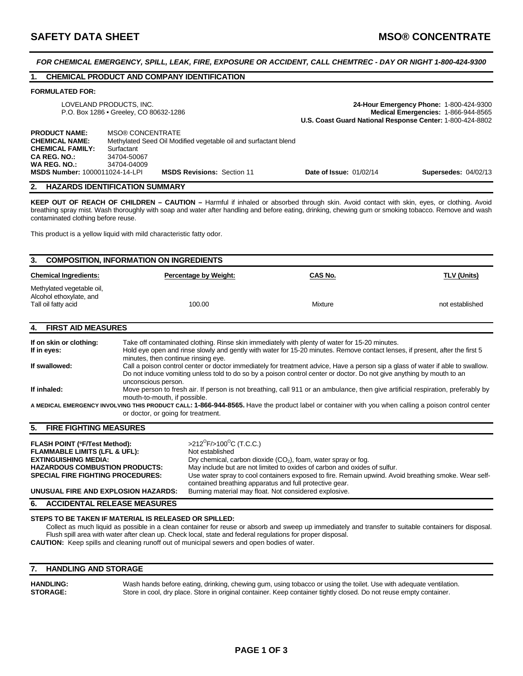*FOR CHEMICAL EMERGENCY, SPILL, LEAK, FIRE, EXPOSURE OR ACCIDENT, CALL CHEMTREC - DAY OR NIGHT 1-800-424-9300* 

## **1. CHEMICAL PRODUCT AND COMPANY IDENTIFICATION**

#### **FORMULATED FOR:**

|                                                                                                                 | LOVELAND PRODUCTS, INC.<br>P.O. Box 1286 • Greeley, CO 80632-1286                                                                      | 24-Hour Emergency Phone: 1-800-424-9300<br>Medical Emergencies: 1-866-944-8565<br>U.S. Coast Guard National Response Center: 1-800-424-8802 |                             |  |
|-----------------------------------------------------------------------------------------------------------------|----------------------------------------------------------------------------------------------------------------------------------------|---------------------------------------------------------------------------------------------------------------------------------------------|-----------------------------|--|
| <b>PRODUCT NAME:</b><br><b>CHEMICAL NAME:</b><br><b>CHEMICAL FAMILY:</b><br><b>CA REG. NO.:</b><br>WA REG. NO.: | <b>MSO® CONCENTRATE</b><br>Methylated Seed Oil Modified vegetable oil and surfactant blend<br>Surfactant<br>34704-50067<br>34704-04009 |                                                                                                                                             |                             |  |
| <b>MSDS Number: 1000011024-14-LPI</b>                                                                           | <b>MSDS Revisions: Section 11</b>                                                                                                      | <b>Date of Issue: 01/02/14</b>                                                                                                              | <b>Supersedes: 04/02/13</b> |  |

#### **2. HAZARDS IDENTIFICATION SUMMARY**

**KEEP OUT OF REACH OF CHILDREN – CAUTION –** Harmful if inhaled or absorbed through skin. Avoid contact with skin, eyes, or clothing. Avoid breathing spray mist. Wash thoroughly with soap and water after handling and before eating, drinking, chewing gum or smoking tobacco. Remove and wash contaminated clothing before reuse.

This product is a yellow liquid with mild characteristic fatty odor.

# **3. COMPOSITION, INFORMATION ON INGREDIENTS Chemical Ingredients:** Percentage by Weight: CAS No. CAS No. TLV (Units) Methylated vegetable oil, Alcohol ethoxylate, and<br>Tall oil fatty acid Tall oil fatty acid and the stablished 100.00 and 100.00 Mixture not established not established **4. FIRST AID MEASURES If on skin or clothing:** Take off contaminated clothing. Rinse skin immediately with plenty of water for 15-20 minutes. **If in eyes:** Hold eye open and rinse slowly and gently with water for 15-20 minutes. Remove contact lenses, if present, after the first 5 minutes, then continue rinsing eye.

| If swallowed: | Call a poison control center or doctor immediately for treatment advice. Have a person sip a glass of water if able to swallow.<br>Do not induce vomiting unless told to do so by a poison control center or doctor. Do not give anything by mouth to an |
|---------------|----------------------------------------------------------------------------------------------------------------------------------------------------------------------------------------------------------------------------------------------------------|
|               | unconscious person.                                                                                                                                                                                                                                      |
| If inhaled:   | Move person to fresh air. If person is not breathing, call 911 or an ambulance, then give artificial respiration, preferably by<br>mouth-to-mouth, if possible.                                                                                          |

**A MEDICAL EMERGENCY INVOLVING THIS PRODUCT CALL: 1-866-944-8565.** Have the product label or container with you when calling a poison control center or doctor, or going for treatment.

#### **5. FIRE FIGHTING MEASURES**

| <b>FLASH POINT (°F/Test Method):</b><br><b>FLAMMABLE LIMITS (LFL &amp; UFL):</b><br><b>EXTINGUISHING MEDIA:</b><br><b>HAZARDOUS COMBUSTION PRODUCTS:</b><br><b>SPECIAL FIRE FIGHTING PROCEDURES:</b> | >212 <sup>°</sup> F/>100 <sup>°</sup> C (T.C.C.)<br>Not established<br>Dry chemical, carbon dioxide $(CO2)$ , foam, water spray or fog.<br>May include but are not limited to oxides of carbon and oxides of sulfur. |
|------------------------------------------------------------------------------------------------------------------------------------------------------------------------------------------------------|----------------------------------------------------------------------------------------------------------------------------------------------------------------------------------------------------------------------|
|                                                                                                                                                                                                      | Use water spray to cool containers exposed to fire. Remain upwind. Avoid breathing smoke. Wear self-<br>contained breathing apparatus and full protective gear.                                                      |
| UNUSUAL FIRE AND EXPLOSION HAZARDS:                                                                                                                                                                  | Burning material may float. Not considered explosive.                                                                                                                                                                |

**6. ACCIDENTAL RELEASE MEASURES** 

#### **STEPS TO BE TAKEN IF MATERIAL IS RELEASED OR SPILLED:**

Collect as much liquid as possible in a clean container for reuse or absorb and sweep up immediately and transfer to suitable containers for disposal. Flush spill area with water after clean up. Check local, state and federal regulations for proper disposal. **CAUTION:** Keep spills and cleaning runoff out of municipal sewers and open bodies of water.

## **7. HANDLING AND STORAGE**

**HANDLING:** Wash hands before eating, drinking, chewing gum, using tobacco or using the toilet. Use with adequate ventilation. **STORAGE:** Store in cool, dry place. Store in original container. Keep container tightly closed. Do not reuse empty container.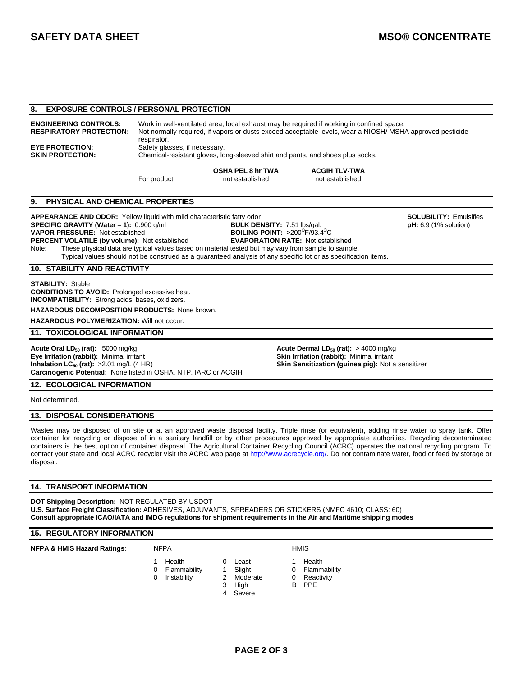## **8. EXPOSURE CONTROLS / PERSONAL PROTECTION**

| <b>ENGINEERING CONTROLS:</b>   | Work in well-ventilated area, local exhaust may be required if working in confined space.                |
|--------------------------------|----------------------------------------------------------------------------------------------------------|
| <b>RESPIRATORY PROTECTION:</b> | Not normally required, if vapors or dusts exceed acceptable levels, wear a NIOSH/MSHA approved pesticide |
| <b>EYE PROTECTION:</b>         | respirator.<br>Safety glasses, if necessary.                                                             |

**SKIN PROTECTION:** Chemical-resistant gloves, long-sleeved shirt and pants, and shoes plus socks.

**OSHA PEL 8 hr TWA ACGIH TLV-TWA** For product not established not established

# **9. PHYSICAL AND CHEMICAL PROPERTIES**

APPEARANCE AND ODOR: Yellow liquid with mild characteristic fatty odor **SOLUBILITY:** Emulsifies **SPECIFIC GRAVITY (Water = 1):** 0.900 g/ml **BULK DENSITY:** 7.51 lbs/gal. **pH:** 6.9 (1% solution) **VAPOR PRESSURE:** Not established  $F/93.4^{\circ}C$ **PERCENT VOLATILE (by volume):** Not established **EVAPORATION RATE:** Not established Note: These physical data are typical values based on material tested but may vary from sample to sample. Typical values should not be construed as a guaranteed analysis of any specific lot or as specification items.

#### **10. STABILITY AND REACTIVITY**

**STABILITY:** Stable

**CONDITIONS TO AVOID:** Prolonged excessive heat. **INCOMPATIBILITY:** Strong acids, bases, oxidizers.

**HAZARDOUS DECOMPOSITION PRODUCTS:** None known.

**HAZARDOUS POLYMERIZATION:** Will not occur.

## **11. TOXICOLOGICAL INFORMATION**

**Acute Oral LD<sub>50</sub> (rat):** 5000 mg/kg **Acute Dermal LD<sub>50</sub> (rat):** > 4000 mg/kg **Eye Irritation (rabbit):** Minimal irritant **Skin Irritation (rabbit):** Minimal irritant **Inhalation LC<sub>50</sub> (rat):**  $>2.01$  mg/L (4 HR) **Skin Sensitization (guinea pig):** Not a sensitizer **Carcinogenic Potential:** None listed in OSHA, NTP, IARC or ACGIH

**12. ECOLOGICAL INFORMATION** 

Not determined.

#### **13. DISPOSAL CONSIDERATIONS**

Wastes may be disposed of on site or at an approved waste disposal facility. Triple rinse (or equivalent), adding rinse water to spray tank. Offer container for recycling or dispose of in a sanitary landfill or by other procedures approved by appropriate authorities. Recycling decontaminated containers is the best option of container disposal. The Agricultural Container Recycling Council (ACRC) operates the national recycling program. To contact your state and local ACRC recycler visit the ACRC web page at http://www.acrecycle.org/. Do not contaminate water, food or feed by storage or disposal.

#### **14. TRANSPORT INFORMATION**

**DOT Shipping Description:** NOT REGULATED BY USDOT **U.S. Surface Freight Classification:** ADHESIVES, ADJUVANTS, SPREADERS OR STICKERS (NMFC 4610; CLASS: 60) **Consult appropriate ICAO/IATA and IMDG regulations for shipment requirements in the Air and Maritime shipping modes**

#### **15. REGULATORY INFORMATION**

**NFPA & HMIS Hazard Ratings:** NFPA **HMIS** 

- 1 Health **0** Least 1 Health
- 0 Flammability 1 Slight 0 Flammability
- 0 Instability 2 Moderate 0 Reactivity
- 3 High B PPE
	- 4 Severe